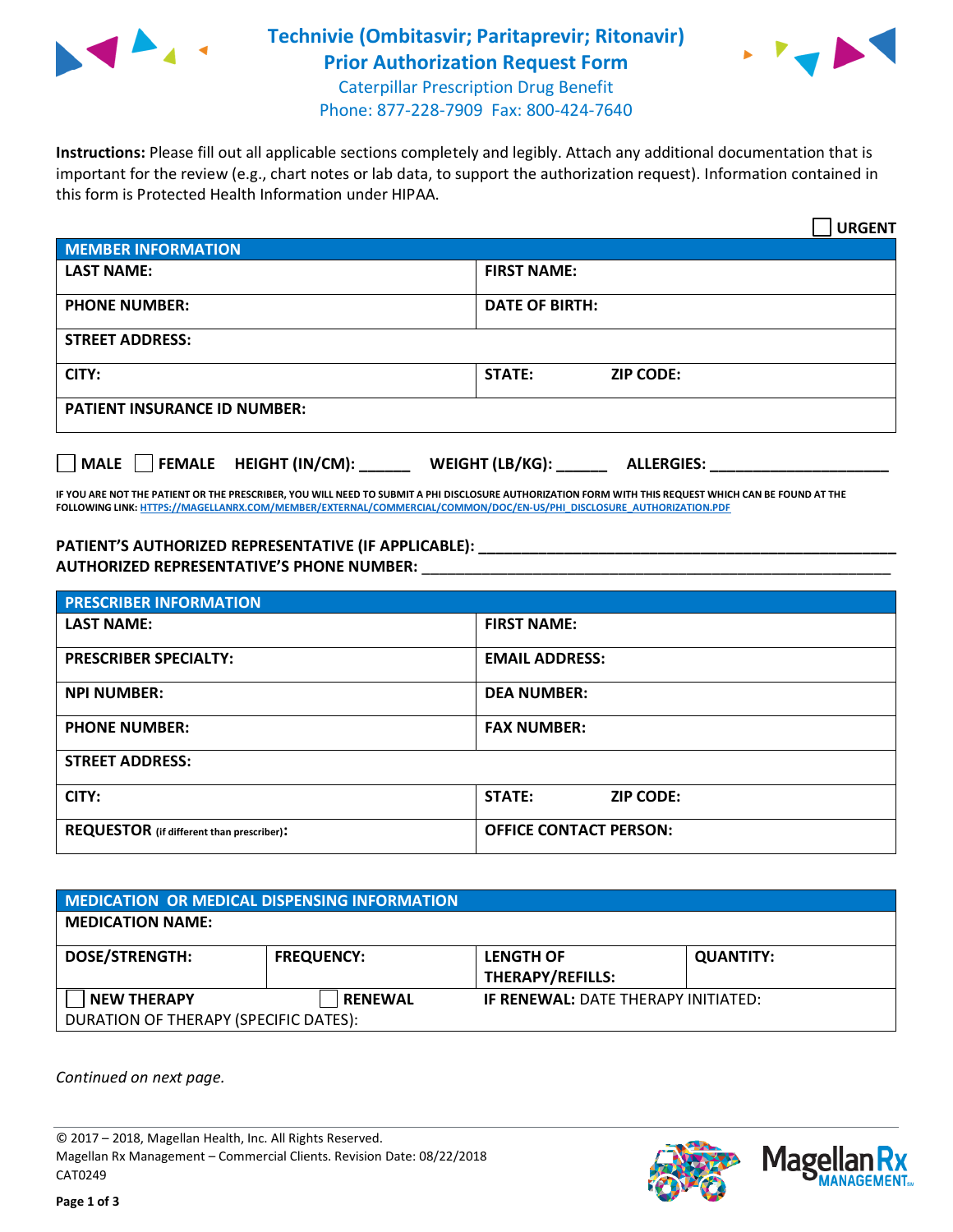

## **Technivie (Ombitasvir; Paritaprevir; Ritonavir) Prior Authorization Request Form** Caterpillar Prescription Drug Benefit



Phone: 877-228-7909 Fax: 800-424-7640

**Instructions:** Please fill out all applicable sections completely and legibly. Attach any additional documentation that is important for the review (e.g., chart notes or lab data, to support the authorization request). Information contained in this form is Protected Health Information under HIPAA.

|                                       | <b>URGENT</b>                        |  |
|---------------------------------------|--------------------------------------|--|
| <b>MEMBER INFORMATION</b>             |                                      |  |
| <b>LAST NAME:</b>                     | <b>FIRST NAME:</b>                   |  |
| <b>PHONE NUMBER:</b>                  | <b>DATE OF BIRTH:</b>                |  |
| <b>STREET ADDRESS:</b>                |                                      |  |
| CITY:                                 | <b>ZIP CODE:</b><br>STATE:           |  |
| <b>PATIENT INSURANCE ID NUMBER:</b>   |                                      |  |
| FEMALE HEIGHT (IN/CM):<br><b>MALE</b> | WEIGHT (LB/KG):<br><b>ALLERGIES:</b> |  |

**IF YOU ARE NOT THE PATIENT OR THE PRESCRIBER, YOU WILL NEED TO SUBMIT A PHI DISCLOSURE AUTHORIZATION FORM WITH THIS REQUEST WHICH CAN BE FOUND AT THE FOLLOWING LINK[: HTTPS://MAGELLANRX.COM/MEMBER/EXTERNAL/COMMERCIAL/COMMON/DOC/EN-US/PHI\\_DISCLOSURE\\_AUTHORIZATION.PDF](https://magellanrx.com/member/external/commercial/common/doc/en-us/PHI_Disclosure_Authorization.pdf)**

**PATIENT'S AUTHORIZED REPRESENTATIVE (IF APPLICABLE): \_\_\_\_\_\_\_\_\_\_\_\_\_\_\_\_\_\_\_\_\_\_\_\_\_\_\_\_\_\_\_\_\_\_\_\_\_\_\_\_\_\_\_\_\_\_\_\_\_ AUTHORIZED REPRESENTATIVE'S PHONE NUMBER:** \_\_\_\_\_\_\_\_\_\_\_\_\_\_\_\_\_\_\_\_\_\_\_\_\_\_\_\_\_\_\_\_\_\_\_\_\_\_\_\_\_\_\_\_\_\_\_\_\_\_\_\_\_\_\_

| <b>PRESCRIBER INFORMATION</b>             |                               |  |  |  |
|-------------------------------------------|-------------------------------|--|--|--|
| <b>LAST NAME:</b>                         | <b>FIRST NAME:</b>            |  |  |  |
| <b>PRESCRIBER SPECIALTY:</b>              | <b>EMAIL ADDRESS:</b>         |  |  |  |
| <b>NPI NUMBER:</b>                        | <b>DEA NUMBER:</b>            |  |  |  |
| <b>PHONE NUMBER:</b>                      | <b>FAX NUMBER:</b>            |  |  |  |
| <b>STREET ADDRESS:</b>                    |                               |  |  |  |
| CITY:                                     | STATE:<br><b>ZIP CODE:</b>    |  |  |  |
| REQUESTOR (if different than prescriber): | <b>OFFICE CONTACT PERSON:</b> |  |  |  |

| <b>MEDICATION OR MEDICAL DISPENSING INFORMATION</b>         |                   |                                             |                  |  |  |
|-------------------------------------------------------------|-------------------|---------------------------------------------|------------------|--|--|
| <b>MEDICATION NAME:</b>                                     |                   |                                             |                  |  |  |
| <b>DOSE/STRENGTH:</b>                                       | <b>FREQUENCY:</b> | <b>LENGTH OF</b><br><b>THERAPY/REFILLS:</b> | <b>QUANTITY:</b> |  |  |
| <b>NEW THERAPY</b><br>DURATION OF THERAPY (SPECIFIC DATES): | <b>RENEWAL</b>    | <b>IF RENEWAL: DATE THERAPY INITIATED:</b>  |                  |  |  |

*Continued on next page.*

© 2017 – 2018, Magellan Health, Inc. All Rights Reserved. Magellan Rx Management – Commercial Clients. Revision Date: 08/22/2018 CAT0249



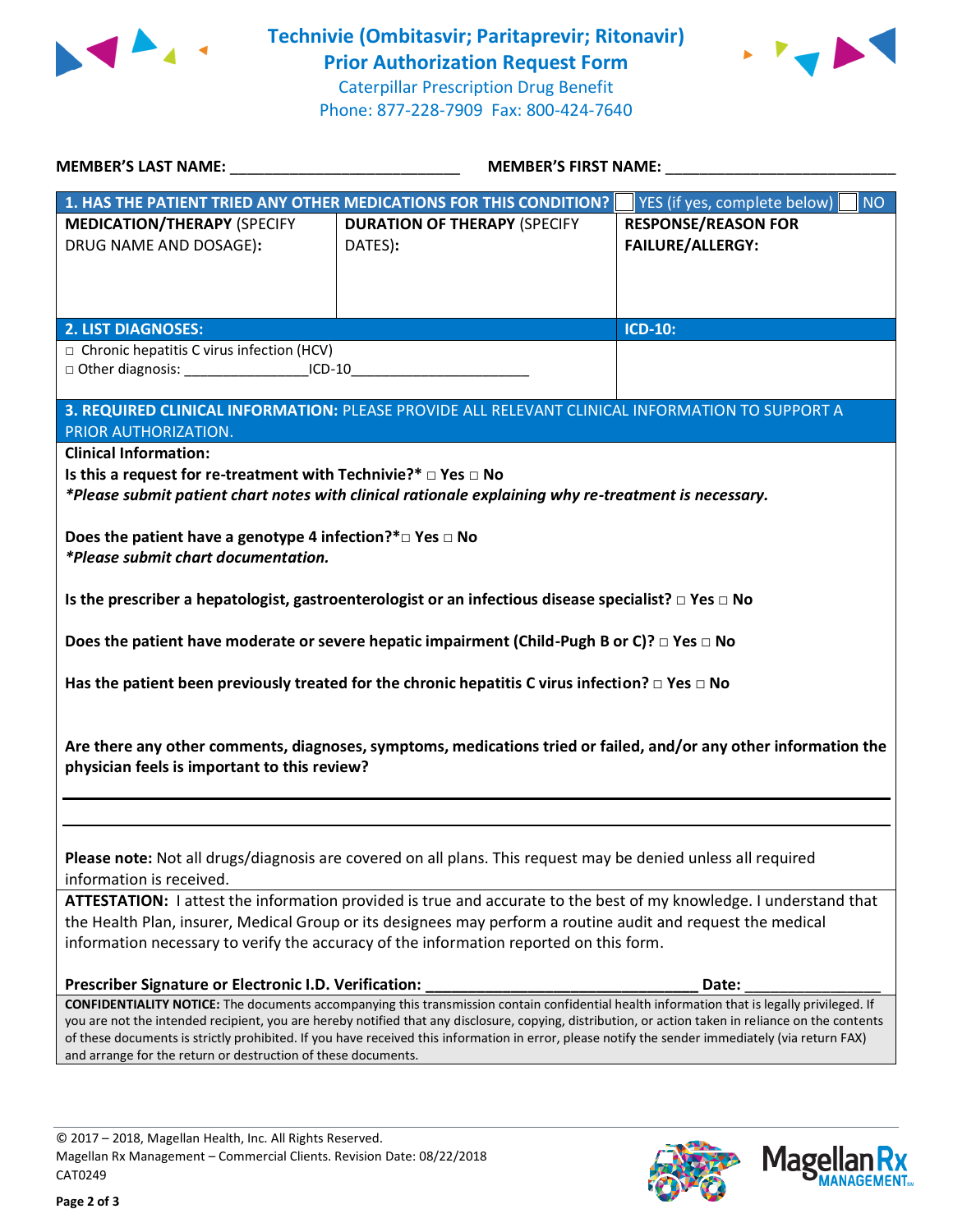



| MEMBER'S LAST NAME: ______________________________                                                                                                               | MEMBER'S FIRST NAME: NAME:                                                                                                                                                                                                                                                                                                                                                                                                                             |                                                       |  |  |
|------------------------------------------------------------------------------------------------------------------------------------------------------------------|--------------------------------------------------------------------------------------------------------------------------------------------------------------------------------------------------------------------------------------------------------------------------------------------------------------------------------------------------------------------------------------------------------------------------------------------------------|-------------------------------------------------------|--|--|
|                                                                                                                                                                  | 1. HAS THE PATIENT TRIED ANY OTHER MEDICATIONS FOR THIS CONDITION?                                                                                                                                                                                                                                                                                                                                                                                     | YES (if yes, complete below)<br>NO                    |  |  |
| <b>MEDICATION/THERAPY (SPECIFY</b><br>DRUG NAME AND DOSAGE):                                                                                                     | <b>DURATION OF THERAPY (SPECIFY</b><br>DATES):                                                                                                                                                                                                                                                                                                                                                                                                         | <b>RESPONSE/REASON FOR</b><br><b>FAILURE/ALLERGY:</b> |  |  |
| <b>2. LIST DIAGNOSES:</b>                                                                                                                                        |                                                                                                                                                                                                                                                                                                                                                                                                                                                        | <b>ICD-10:</b>                                        |  |  |
| $\Box$ Chronic hepatitis C virus infection (HCV)<br>□ Other diagnosis: ____________________ICD-10__________________________________                              |                                                                                                                                                                                                                                                                                                                                                                                                                                                        |                                                       |  |  |
| PRIOR AUTHORIZATION.                                                                                                                                             | 3. REQUIRED CLINICAL INFORMATION: PLEASE PROVIDE ALL RELEVANT CLINICAL INFORMATION TO SUPPORT A                                                                                                                                                                                                                                                                                                                                                        |                                                       |  |  |
| <b>Clinical Information:</b><br>Is this a request for re-treatment with Technivie?* $\Box$ Yes $\Box$ No                                                         | *Please submit patient chart notes with clinical rationale explaining why re-treatment is necessary.                                                                                                                                                                                                                                                                                                                                                   |                                                       |  |  |
| Does the patient have a genotype 4 infection?* $\square$ Yes $\square$ No<br>*Please submit chart documentation.                                                 |                                                                                                                                                                                                                                                                                                                                                                                                                                                        |                                                       |  |  |
|                                                                                                                                                                  | Is the prescriber a hepatologist, gastroenterologist or an infectious disease specialist? $\Box$ Yes $\Box$ No                                                                                                                                                                                                                                                                                                                                         |                                                       |  |  |
| Does the patient have moderate or severe hepatic impairment (Child-Pugh B or C)? $\Box$ Yes $\Box$ No                                                            |                                                                                                                                                                                                                                                                                                                                                                                                                                                        |                                                       |  |  |
| Has the patient been previously treated for the chronic hepatitis C virus infection? $\Box$ Yes $\Box$ No                                                        |                                                                                                                                                                                                                                                                                                                                                                                                                                                        |                                                       |  |  |
| Are there any other comments, diagnoses, symptoms, medications tried or failed, and/or any other information the<br>physician feels is important to this review? |                                                                                                                                                                                                                                                                                                                                                                                                                                                        |                                                       |  |  |
|                                                                                                                                                                  |                                                                                                                                                                                                                                                                                                                                                                                                                                                        |                                                       |  |  |
| information is received.                                                                                                                                         | Please note: Not all drugs/diagnosis are covered on all plans. This request may be denied unless all required                                                                                                                                                                                                                                                                                                                                          |                                                       |  |  |
|                                                                                                                                                                  | ATTESTATION: I attest the information provided is true and accurate to the best of my knowledge. I understand that<br>the Health Plan, insurer, Medical Group or its designees may perform a routine audit and request the medical<br>information necessary to verify the accuracy of the information reported on this form.                                                                                                                           |                                                       |  |  |
| Prescriber Signature or Electronic I.D. Verification:                                                                                                            |                                                                                                                                                                                                                                                                                                                                                                                                                                                        | Date:                                                 |  |  |
| and arrange for the return or destruction of these documents.                                                                                                    | CONFIDENTIALITY NOTICE: The documents accompanying this transmission contain confidential health information that is legally privileged. If<br>you are not the intended recipient, you are hereby notified that any disclosure, copying, distribution, or action taken in reliance on the contents<br>of these documents is strictly prohibited. If you have received this information in error, please notify the sender immediately (via return FAX) |                                                       |  |  |